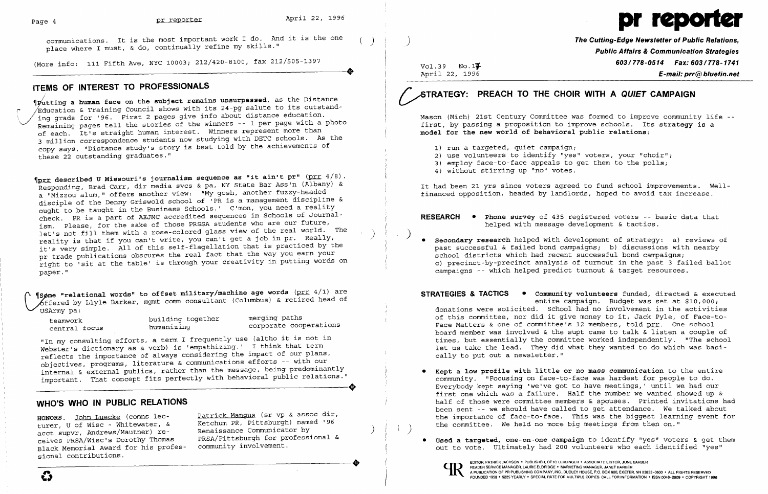communications. It is the most important work I do. And it is the one<br>place where I must, & do, continually refine my skills."



(More info: 111 Fifth Ave, NYC 10003; 212/420-8100, fax 212/505-1397 (More info: 111 Fifth Ave, NYC 10003; 212/420-8100, fax 212/505-1397

#### **ITEMS OF INTEREST TO PROFESSIONALS**

/ ~Futting **a human face on the subject remains unsurpassed,** as the Distance  $K$ ducation & Training Council shows with its 24-pg salute to its outstanding grads for '96. First 2 pages give info about distance education. Remaining pages tell the stories of the winners -- 1 per page with a photo of each. It's straight human interest. Winners represent more than 3 million correspondence students now studying with DETC schools. As the copy says, "Distance study's story is best told by the achievements of these 22 outstanding graduates."

 $~$ prr described U Missouri's journalism sequence as "it ain't pr"  $~$  (prr  $~4/8)$ . Responding, Brad Carr, dir media svcs & pa, NY State Bar Ass'n (Albany) & a "Mizzou alum," offers another view: "My gosh, another fuzzy-headed disciple of the Denny Griswold school of 'PR is a management discipline & ought to be taught in the Business Schools.' C'mon, you need a reality check. PR is a part of AEJMC accredited sequences in Schools of Journalism. Please, for the sake of those PRSSA students who are our future, let's not fill them with a rose-colored glass view of the real world. The reality is that if you can't write, you can't get a job in pr. Really, it's very simple. All of this self-flagellation that is practiced by the pr trade publications obscures the real fact that the way you earn your right to 'sit at the table' is through your creativity in putting words on paper. "

**We words "relational words"** to offset military/machine age words (prr 4/1) are ~ Some "Telational words" Coornect measurement (Columbus) & retired head of bifured by Llyle Barker, mgmt comm consultant (Columbus) & retired head of USArmy pa:

 $Vol.39$  No. 1 $\overline{4}$ April 22, 1996

> 3) employ face-to-face appeals to get them to the polls; i.

building together merging paths teamwork corporate cooperations central focus humanizing

"In my consulting efforts, a term I frequently use (altho it is not in Webster's dictionary as a verb) is 'empathizing.' I think that term reflects the importance of always considering the impact of our plans, objectives, programs, literature & communications efforts -- with our internal & external publics, rather than the message, being predominantly important. That concept fits perfectly with behavioral public relations." -----------------------------+

### **WHO'S WHO IN PUBLIC RELATIONS**

HONORS. John Luecke (comns lecturer, U of Wisc - Whitewater, & acct supvr, Andrews/Mautner) receives PRSA/Wisc's Dorothy Thomas Black Memorial Award for his professional contributions. Black Memorial Award for his profes-<br>sional contributions.<br>COMMUNISTRIPY SERVICE MANAGER, AND READER SERVICE MANAGER, AND READER SERVICE MANAGER, AND READER SERVICE MANAGER, AND READER SERVICE MANAGER, AND READER OF THE SE

Patrick Mangus (sr vp & assoc dir, Ketchum PR, pittsburgh) named '96 Renaissance Communicator by ) PRSA/Pittsburgh for professional & community involvement.

)

**The Cutting-Edge Newsletter of Public Relations, Public Affairs &Communication Strategies 603/778-0514 Fax: 603/778-1741 E-mail: prr@bluefin.net** 

# ~TRATEGY: **PREACH TO THE CHOIR WITH A QUIET CAMPAIGN**

Mason (Mich) 21st Century Committee was formed to improve community life first, by passing a proposition to improve schools. Its **strategy is** <sup>a</sup> **model for the new world of behavioral public relations:** 

- 1) run a targeted, quiet campaign;
- 2) use volunteers to identify "yes" voters, your "choir";
- 
- 4) without stirring up "no" votes.

It had been 21 yrs since voters agreed to fund school improvements. Wellfinanced opposition, headed by landlords, hoped to avoid tax increase.

**RESEARCH • Phone survey** of 435 registered voters -- basic data that helped with message development & tactics.

) **• Secondary research** helped with development of strategy: a) reviews of past successful & failed bond campaigns; b) discussions with nearby c) precinct-by-precinct analysis of turnout in the past 3 failed ballot

- 
- school districts which had recent successful bond campaigns; campaigns -- which helped predict turnout & target resources.

**STRATEGIES & TACTICS • Community volunteers** funded, directed & executed entire campaign. Budget was set at \$10,000; donations were solicited. School had no involvement in the activities of this committee, nor did it give money to it, Jack Pyle, of Face-to-Face Matters & one of committee's 12 members, told prr. One school board member was involved & the supt came to talk & listen a couple of times, but essentially the committee worked independently. "The school let us take the lead. They did what they wanted to do which was basically to put out a newsletter."

- the committee. We held no more big meetings from then on."
- 



**• Kept a low profile with little or no mass communication** to the entire community. "Focusing on face-to-face was hardest for people to do. Everybody kept saying 'we've got to have meetings,' until we had our first one which was a failure. Half the number we wanted showed up & half of those were committee members & spouses. Printed invitations had been sent -- we should have called to get attendance. We talked about the importance of face-to-face. This was the biggest learning event for

**Used a targeted, one-on-one campaign** to identify "yes" voters & get them out to vote. Ultimately had 200 volunteers who each identified "yes"

EDITOR. PATRICK JACKSON· PUBLISHER, OTTO LERBINGER • ASSOCIATE EDITOR, JUNE BARBER